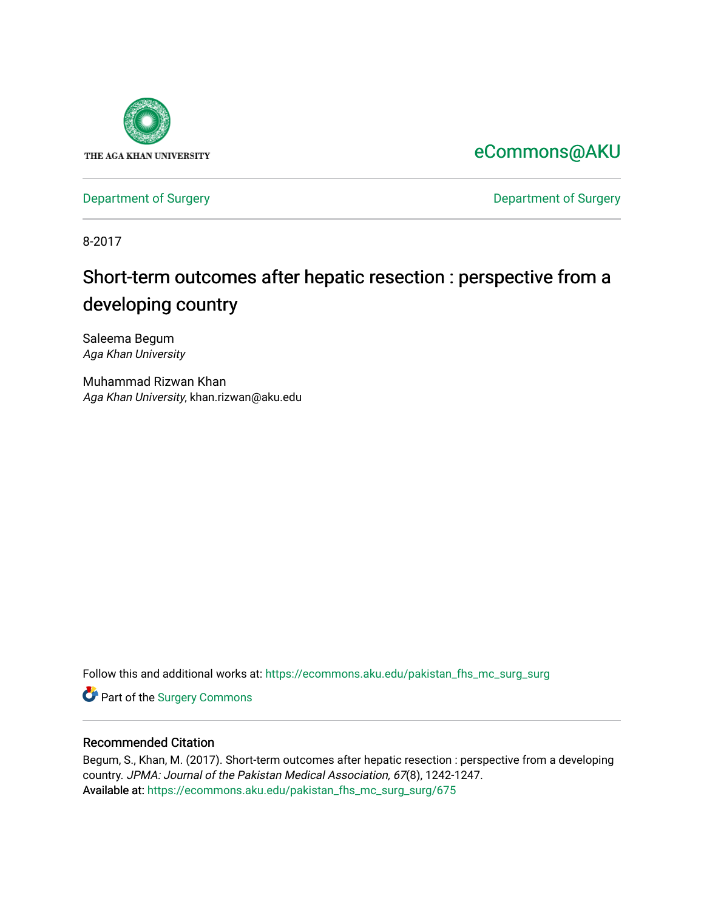

[eCommons@AKU](https://ecommons.aku.edu/) 

[Department of Surgery](https://ecommons.aku.edu/pakistan_fhs_mc_surg) **Department of Surgery** 

8-2017

# Short-term outcomes after hepatic resection : perspective from a developing country

Saleema Begum Aga Khan University

Muhammad Rizwan Khan Aga Khan University, khan.rizwan@aku.edu

Follow this and additional works at: [https://ecommons.aku.edu/pakistan\\_fhs\\_mc\\_surg\\_surg](https://ecommons.aku.edu/pakistan_fhs_mc_surg_surg?utm_source=ecommons.aku.edu%2Fpakistan_fhs_mc_surg_surg%2F675&utm_medium=PDF&utm_campaign=PDFCoverPages) 

Part of the [Surgery Commons](http://network.bepress.com/hgg/discipline/706?utm_source=ecommons.aku.edu%2Fpakistan_fhs_mc_surg_surg%2F675&utm_medium=PDF&utm_campaign=PDFCoverPages) 

### Recommended Citation

Begum, S., Khan, M. (2017). Short-term outcomes after hepatic resection : perspective from a developing country. JPMA: Journal of the Pakistan Medical Association, 67(8), 1242-1247. Available at: [https://ecommons.aku.edu/pakistan\\_fhs\\_mc\\_surg\\_surg/675](https://ecommons.aku.edu/pakistan_fhs_mc_surg_surg/675)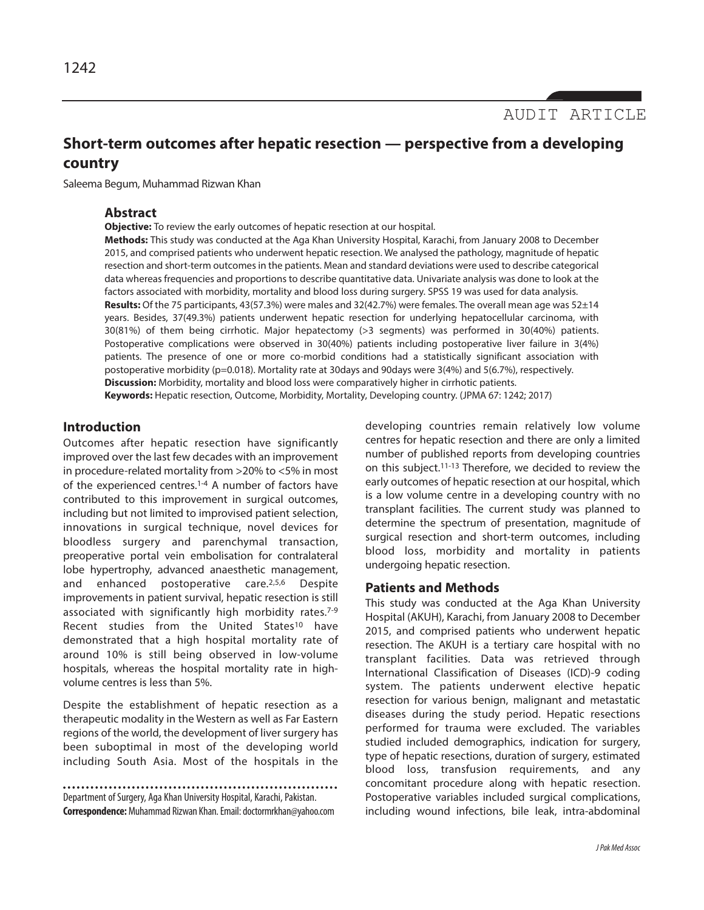## **Short-term outcomes after hepatic resection — perspective from a developing country**

Saleema Begum, Muhammad Rizwan Khan

### **Abstract**

**Objective:** To review the early outcomes of hepatic resection at our hospital.

**Methods:** This study was conducted at the Aga Khan University Hospital, Karachi, from January 2008 to December 2015, and comprised patients who underwent hepatic resection. We analysed the pathology, magnitude of hepatic resection and short-term outcomes in the patients. Mean and standard deviations were used to describe categorical data whereas frequencies and proportions to describe quantitative data. Univariate analysis was done to look at the factors associated with morbidity, mortality and blood loss during surgery. SPSS 19 was used for data analysis. **Results:** Of the 75 participants, 43(57.3%) were males and 32(42.7%) were females. The overall mean age was 52±14 years. Besides, 37(49.3%) patients underwent hepatic resection for underlying hepatocellular carcinoma, with 30(81%) of them being cirrhotic. Major hepatectomy (>3 segments) was performed in 30(40%) patients. Postoperative complications were observed in 30(40%) patients including postoperative liver failure in 3(4%) patients. The presence of one or more co-morbid conditions had a statistically significant association with postoperative morbidity (p=0.018). Mortality rate at 30days and 90days were 3(4%) and 5(6.7%), respectively. **Discussion:** Morbidity, mortality and blood loss were comparatively higher in cirrhotic patients. **Keywords:** Hepatic resection, Outcome, Morbidity, Mortality, Developing country. (JPMA 67: 1242; 2017)

### **Introduction**

Outcomes after hepatic resection have significantly improved over the last few decades with an improvement in procedure-related mortality from >20% to <5% in most of the experienced centres.<sup>1-4</sup> A number of factors have contributed to this improvement in surgical outcomes, including but not limited to improvised patient selection, innovations in surgical technique, novel devices for bloodless surgery and parenchymal transaction, preoperative portal vein embolisation for contralateral lobe hypertrophy, advanced anaesthetic management, and enhanced postoperative care.2,5,6 Despite improvements in patient survival, hepatic resection is still associated with significantly high morbidity rates.<sup>7-9</sup> Recent studies from the United States<sup>10</sup> have demonstrated that a high hospital mortality rate of around 10% is still being observed in low-volume hospitals, whereas the hospital mortality rate in highvolume centres is less than 5%.

Despite the establishment of hepatic resection as a therapeutic modality in the Western as well as Far Eastern regions of the world, the development of liver surgery has been suboptimal in most of the developing world including South Asia. Most of the hospitals in the

Department of Surgery, Aga Khan University Hospital, Karachi, Pakistan. **Correspondence:**Muhammad Rizwan Khan. Email: doctormrkhan@yahoo.com

developing countries remain relatively low volume centres for hepatic resection and there are only a limited number of published reports from developing countries on this subject.11-13 Therefore, we decided to review the early outcomes of hepatic resection at our hospital, which is a low volume centre in a developing country with no transplant facilities. The current study was planned to determine the spectrum of presentation, magnitude of surgical resection and short-term outcomes, including blood loss, morbidity and mortality in patients undergoing hepatic resection.

### **Patients and Methods**

This study was conducted at the Aga Khan University Hospital (AKUH), Karachi, from January 2008 to December 2015, and comprised patients who underwent hepatic resection. The AKUH is a tertiary care hospital with no transplant facilities. Data was retrieved through International Classification of Diseases (ICD)-9 coding system. The patients underwent elective hepatic resection for various benign, malignant and metastatic diseases during the study period. Hepatic resections performed for trauma were excluded. The variables studied included demographics, indication for surgery, type of hepatic resections, duration of surgery, estimated blood loss, transfusion requirements, and any concomitant procedure along with hepatic resection. Postoperative variables included surgical complications, including wound infections, bile leak, intra-abdominal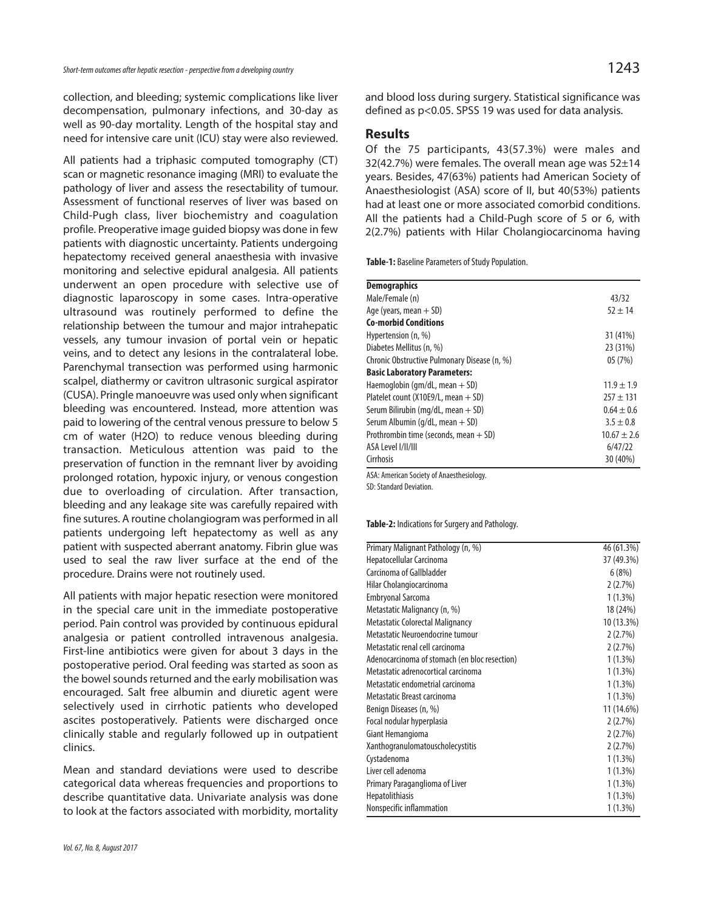collection, and bleeding; systemic complications like liver decompensation, pulmonary infections, and 30-day as well as 90-day mortality. Length of the hospital stay and need for intensive care unit (ICU) stay were also reviewed.

All patients had a triphasic computed tomography (CT) scan or magnetic resonance imaging (MRI) to evaluate the pathology of liver and assess the resectability of tumour. Assessment of functional reserves of liver was based on Child-Pugh class, liver biochemistry and coagulation profile. Preoperative image guided biopsy was done in few patients with diagnostic uncertainty. Patients undergoing hepatectomy received general anaesthesia with invasive monitoring and selective epidural analgesia. All patients underwent an open procedure with selective use of diagnostic laparoscopy in some cases. Intra-operative ultrasound was routinely performed to define the relationship between the tumour and major intrahepatic vessels, any tumour invasion of portal vein or hepatic veins, and to detect any lesions in the contralateral lobe. Parenchymal transection was performed using harmonic scalpel, diathermy or cavitron ultrasonic surgical aspirator (CUSA). Pringle manoeuvre was used only when significant bleeding was encountered. Instead, more attention was paid to lowering of the central venous pressure to below 5 cm of water (H2O) to reduce venous bleeding during transaction. Meticulous attention was paid to the preservation of function in the remnant liver by avoiding prolonged rotation, hypoxic injury, or venous congestion due to overloading of circulation. After transaction, bleeding and any leakage site was carefully repaired with fine sutures. A routine cholangiogram was performed in all patients undergoing left hepatectomy as well as any patient with suspected aberrant anatomy. Fibrin glue was used to seal the raw liver surface at the end of the procedure. Drains were not routinely used.

All patients with major hepatic resection were monitored in the special care unit in the immediate postoperative period. Pain control was provided by continuous epidural analgesia or patient controlled intravenous analgesia. First-line antibiotics were given for about 3 days in the postoperative period. Oral feeding was started as soon as the bowel sounds returned and the early mobilisation was encouraged. Salt free albumin and diuretic agent were selectively used in cirrhotic patients who developed ascites postoperatively. Patients were discharged once clinically stable and regularly followed up in outpatient clinics.

Mean and standard deviations were used to describe categorical data whereas frequencies and proportions to describe quantitative data. Univariate analysis was done to look at the factors associated with morbidity, mortality and blood loss during surgery. Statistical significance was defined as p<0.05. SPSS 19 was used for data analysis.

### **Results**

Of the 75 participants, 43(57.3%) were males and 32(42.7%) were females. The overall mean age was 52±14 years. Besides, 47(63%) patients had American Society of Anaesthesiologist (ASA) score of II, but 40(53%) patients had at least one or more associated comorbid conditions. All the patients had a Child-Pugh score of 5 or 6, with 2(2.7%) patients with Hilar Cholangiocarcinoma having

**Table-1:** Baseline Parameters of Study Population.

| <b>Demographics</b>                          |                 |
|----------------------------------------------|-----------------|
| Male/Female (n)                              | 43/32           |
| Age (years, mean $+$ SD)                     | $52 + 14$       |
| <b>Co-morbid Conditions</b>                  |                 |
| Hypertension (n, %)                          | 31 (41%)        |
| Diabetes Mellitus (n, %)                     | 23 (31%)        |
| Chronic Obstructive Pulmonary Disease (n, %) | 05 (7%)         |
| <b>Basic Laboratory Parameters:</b>          |                 |
| Haemoglobin ( $qm/dL$ , mean $+$ SD)         | $11.9 \pm 1.9$  |
| Platelet count ( $X10E9/L$ , mean $+$ SD)    | $257 + 131$     |
| Serum Bilirubin (mg/dL, mean $+$ SD)         | $0.64 \pm 0.6$  |
| Serum Albumin ( $q/dL$ , mean $+$ SD)        | $3.5 \pm 0.8$   |
| Prothrombin time (seconds, mean $+$ SD)      | $10.67 \pm 2.6$ |
| ASA Level I/II/III                           | 6/47/22         |
| Cirrhosis                                    | 30 (40%)        |
| $\mathbf{A} \cap \mathbf{A}$                 |                 |

ASA: American Society of Anaesthesiology.

SD: Standard Deviation.

**Table-2:** Indications for Surgery and Pathology.

| Primary Malignant Pathology (n, %)            | 46 (61.3%) |
|-----------------------------------------------|------------|
| Hepatocellular Carcinoma                      | 37 (49.3%) |
| Carcinoma of Gallbladder                      | 6(8%)      |
| Hilar Cholangiocarcinoma                      | 2(2.7%)    |
| <b>Embryonal Sarcoma</b>                      | $1(1.3\%)$ |
| Metastatic Malignancy (n, %)                  | 18 (24%)   |
| Metastatic Colorectal Malignancy              | 10 (13.3%) |
| Metastatic Neuroendocrine tumour              | 2(2.7%)    |
| Metastatic renal cell carcinoma               | 2(2.7%)    |
| Adenocarcinoma of stomach (en bloc resection) | 1 (1.3%)   |
| Metastatic adrenocortical carcinoma           | $1(1.3\%)$ |
| Metastatic endometrial carcinoma              | $1(1.3\%)$ |
| Metastatic Breast carcinoma                   | $1(1.3\%)$ |
| Benign Diseases (n, %)                        | 11 (14.6%) |
| Focal nodular hyperplasia                     | 2(2.7%)    |
| Giant Hemangioma                              | 2(2.7%)    |
| Xanthogranulomatouscholecystitis              | 2(2.7%)    |
| Cystadenoma                                   | $1(1.3\%)$ |
| Liver cell adenoma                            | 1 (1.3%)   |
| Primary Paraganglioma of Liver                | $1(1.3\%)$ |
| Hepatolithiasis                               | $1(1.3\%)$ |
| Nonspecific inflammation                      | $1(1.3\%)$ |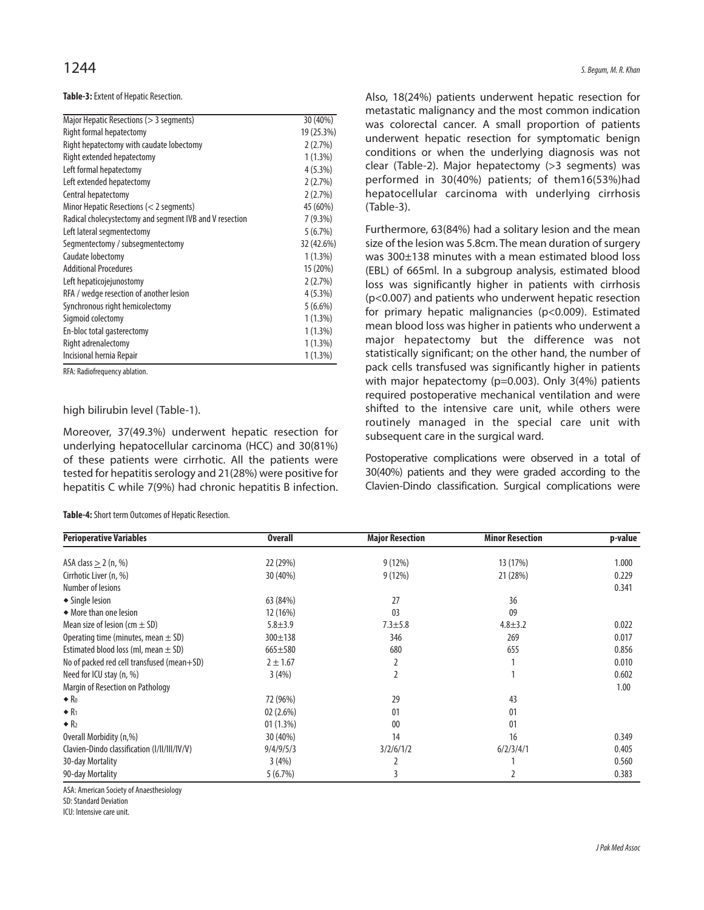### **Table-3:** Extent of Hepatic Resection.

| Major Hepatic Resections (> 3 segments)                 | 30 (40%)   |
|---------------------------------------------------------|------------|
| Right formal hepatectomy                                | 19 (25.3%) |
| Right hepatectomy with caudate lobectomy                | 2(2.7%)    |
| Right extended hepatectomy                              | $1(1.3\%)$ |
| Left formal hepatectomy                                 | $4(5.3\%)$ |
| Left extended hepatectomy                               | 2(2.7%)    |
| Central hepatectomy                                     | 2(2.7%)    |
| Minor Hepatic Resections (< 2 segments)                 | 45 (60%)   |
| Radical cholecystectomy and segment IVB and V resection | $7(9.3\%)$ |
| Left lateral segmentectomy                              | 5(6.7%)    |
| Segmentectomy / subsegmentectomy                        | 32 (42.6%) |
| Caudate lobectomy                                       | $1(1.3\%)$ |
| <b>Additional Procedures</b>                            | 15 (20%)   |
| Left hepaticojejunostomy                                | 2(2.7%)    |
| RFA / wedge resection of another lesion                 | 4(5.3%)    |
| Synchronous right hemicolectomy                         | $5(6.6\%)$ |
| Sigmoid colectomy                                       | $1(1.3\%)$ |
| En-bloc total gasterectomy                              | $1(1.3\%)$ |
| Right adrenalectomy                                     | $1(1.3\%)$ |
| Incisional hernia Repair                                | $1(1.3\%)$ |

RFA: Radiofrequency ablation.

### high bilirubin level (Table-1).

Moreover, 37(49.3%) underwent hepatic resection for underlying hepatocellular carcinoma (HCC) and 30(81%) of these patients were cirrhotic. All the patients were tested for hepatitis serology and 21(28%) were positive for hepatitis C while 7(9%) had chronic hepatitis B infection.

**Table-4:** Short term Outcomes of Hepatic Resection.

Also, 18(24%) patients underwent hepatic resection for metastatic malignancy and the most common indication was colorectal cancer. A small proportion of patients underwent hepatic resection for symptomatic benign conditions or when the underlying diagnosis was not clear (Table-2). Major hepatectomy (>3 segments) was performed in 30(40%) patients; of them16(53%)had hepatocellular carcinoma with underlying cirrhosis (Table-3).

Furthermore, 63(84%) had a solitary lesion and the mean size of the lesion was 5.8cm. The mean duration of surgery was 300±138 minutes with a mean estimated blood loss (EBL) of 665ml. In a subgroup analysis, estimated blood loss was significantly higher in patients with cirrhosis (p<0.007) and patients who underwent hepatic resection for primary hepatic malignancies (p<0.009). Estimated mean blood loss was higher in patients who underwent a major hepatectomy but the difference was not statistically significant; on the other hand, the number of pack cells transfused was significantly higher in patients with major hepatectomy (p=0.003). Only 3(4%) patients required postoperative mechanical ventilation and were shifted to the intensive care unit, while others were routinely managed in the special care unit with subsequent care in the surgical ward.

Postoperative complications were observed in a total of 30(40%) patients and they were graded according to the Clavien-Dindo classification. Surgical complications were

| <b>Perioperative Variables</b>               | <b>Overall</b> | <b>Major Resection</b> | <b>Minor Resection</b> | p-value |
|----------------------------------------------|----------------|------------------------|------------------------|---------|
|                                              |                |                        |                        |         |
| ASA class $\geq$ 2 (n, %)                    | 22 (29%)       | 9(12%)                 | 13 (17%)               | 1.000   |
| Cirrhotic Liver (n, %)                       | 30 (40%)       | 9(12%)                 | 21 (28%)               | 0.229   |
| Number of lesions                            |                |                        |                        | 0.341   |
| ◆ Single lesion                              | 63 (84%)       | 27                     | 36                     |         |
| • More than one lesion                       | 12 (16%)       | 0 <sup>3</sup>         | 09                     |         |
| Mean size of lesion (cm $\pm$ SD)            | $5.8 + 3.9$    | $7.3 + 5.8$            | $4.8 \pm 3.2$          | 0.022   |
| Operating time (minutes, mean $\pm$ SD)      | $300 \pm 138$  | 346                    | 269                    | 0.017   |
| Estimated blood loss (ml, mean $\pm$ SD)     | $665 + 580$    | 680                    | 655                    | 0.856   |
| No of packed red cell transfused (mean+SD)   | $2 + 1.67$     |                        |                        | 0.010   |
| Need for ICU stay (n, %)                     | 3(4%)          |                        |                        | 0.602   |
| Margin of Resection on Pathology             |                |                        |                        | 1.00    |
| $\bullet$ R <sub>0</sub>                     | 72 (96%)       | 29                     | 43                     |         |
| $\bullet$ R <sub>1</sub>                     | 02(2.6%)       | 01                     | 01                     |         |
| $\bullet$ R <sub>2</sub>                     | 01(1.3%)       | 00                     | 01                     |         |
| Overall Morbidity (n,%)                      | 30 (40%)       | 14                     | 16                     | 0.349   |
| Clavien-Dindo classification (I/II/III/IV/V) | 9/4/9/5/3      | 3/2/6/1/2              | 6/2/3/4/1              | 0.405   |
| 30-day Mortality                             | 3(4%)          |                        |                        | 0.560   |
| 90-day Mortality                             | 5(6.7%)        | 3                      |                        | 0.383   |

ASA: American Society of Anaesthesiology

SD: Standard Deviation

ICU: Intensive care unit.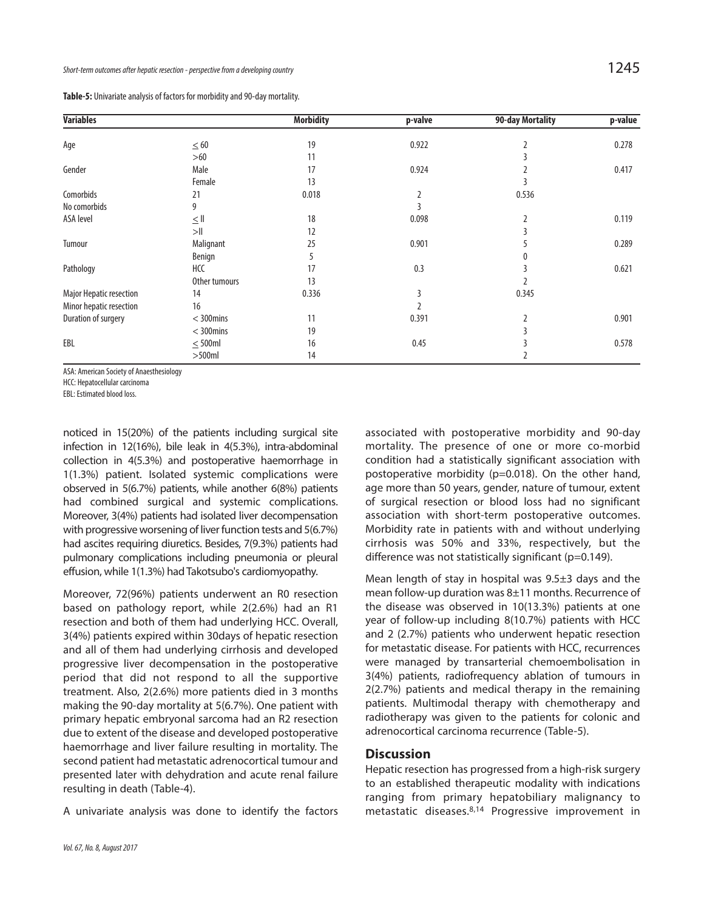**Table-5:** Univariate analysis of factors for morbidity and 90-day mortality.

| <b>Variables</b>        |                    | <b>Morbidity</b> | p-valve        | 90-day Mortality | p-value |
|-------------------------|--------------------|------------------|----------------|------------------|---------|
| Age                     | $\leq$ 60          | 19               | 0.922          |                  | 0.278   |
|                         | $>60$              | 11               |                |                  |         |
| Gender                  | Male               | 17               | 0.924          |                  | 0.417   |
|                         | Female             | 13               |                |                  |         |
| Comorbids               | 21                 | 0.018            | $\overline{2}$ | 0.536            |         |
| No comorbids            | 9                  |                  |                |                  |         |
| ASA level               | $\leq$ $\parallel$ | 18               | 0.098          | 2                | 0.119   |
|                         | >11                | 12               |                |                  |         |
| Tumour                  | Malignant          | 25               | 0.901          |                  | 0.289   |
|                         | Benign             | 5                |                |                  |         |
| Pathology               | HCC                | 17               | 0.3            |                  | 0.621   |
|                         | Other tumours      | 13               |                |                  |         |
| Major Hepatic resection | 14                 | 0.336            | 3              | 0.345            |         |
| Minor hepatic resection | 16                 |                  |                |                  |         |
| Duration of surgery     | $<$ 300mins        | 11               | 0.391          | 2                | 0.901   |
|                         | $<$ 300mins        | 19               |                |                  |         |
| EBL                     | $\leq$ 500ml       | 16               | 0.45           |                  | 0.578   |
|                         | $>500$ ml          | 14               |                |                  |         |

ASA: American Society of Anaesthesiology

HCC: Hepatocellular carcinoma

EBL: Estimated blood loss.

noticed in 15(20%) of the patients including surgical site infection in 12(16%), bile leak in 4(5.3%), intra-abdominal collection in 4(5.3%) and postoperative haemorrhage in 1(1.3%) patient. Isolated systemic complications were observed in 5(6.7%) patients, while another 6(8%) patients had combined surgical and systemic complications. Moreover, 3(4%) patients had isolated liver decompensation with progressive worsening of liver function tests and 5(6.7%) had ascites requiring diuretics. Besides, 7(9.3%) patients had pulmonary complications including pneumonia or pleural effusion, while 1(1.3%) had Takotsubo's cardiomyopathy.

Moreover, 72(96%) patients underwent an R0 resection based on pathology report, while 2(2.6%) had an R1 resection and both of them had underlying HCC. Overall, 3(4%) patients expired within 30days of hepatic resection and all of them had underlying cirrhosis and developed progressive liver decompensation in the postoperative period that did not respond to all the supportive treatment. Also, 2(2.6%) more patients died in 3 months making the 90-day mortality at 5(6.7%). One patient with primary hepatic embryonal sarcoma had an R2 resection due to extent of the disease and developed postoperative haemorrhage and liver failure resulting in mortality. The second patient had metastatic adrenocortical tumour and presented later with dehydration and acute renal failure resulting in death (Table-4).

A univariate analysis was done to identify the factors

associated with postoperative morbidity and 90-day mortality. The presence of one or more co-morbid condition had a statistically significant association with postoperative morbidity (p=0.018). On the other hand, age more than 50 years, gender, nature of tumour, extent of surgical resection or blood loss had no significant association with short-term postoperative outcomes. Morbidity rate in patients with and without underlying cirrhosis was 50% and 33%, respectively, but the difference was not statistically significant (p=0.149).

Mean length of stay in hospital was 9.5±3 days and the mean follow-up duration was 8±11 months. Recurrence of the disease was observed in 10(13.3%) patients at one year of follow-up including 8(10.7%) patients with HCC and 2 (2.7%) patients who underwent hepatic resection for metastatic disease. For patients with HCC, recurrences were managed by transarterial chemoembolisation in 3(4%) patients, radiofrequency ablation of tumours in 2(2.7%) patients and medical therapy in the remaining patients. Multimodal therapy with chemotherapy and radiotherapy was given to the patients for colonic and adrenocortical carcinoma recurrence (Table-5).

### **Discussion**

Hepatic resection has progressed from a high-risk surgery to an established therapeutic modality with indications ranging from primary hepatobiliary malignancy to metastatic diseases.8,14 Progressive improvement in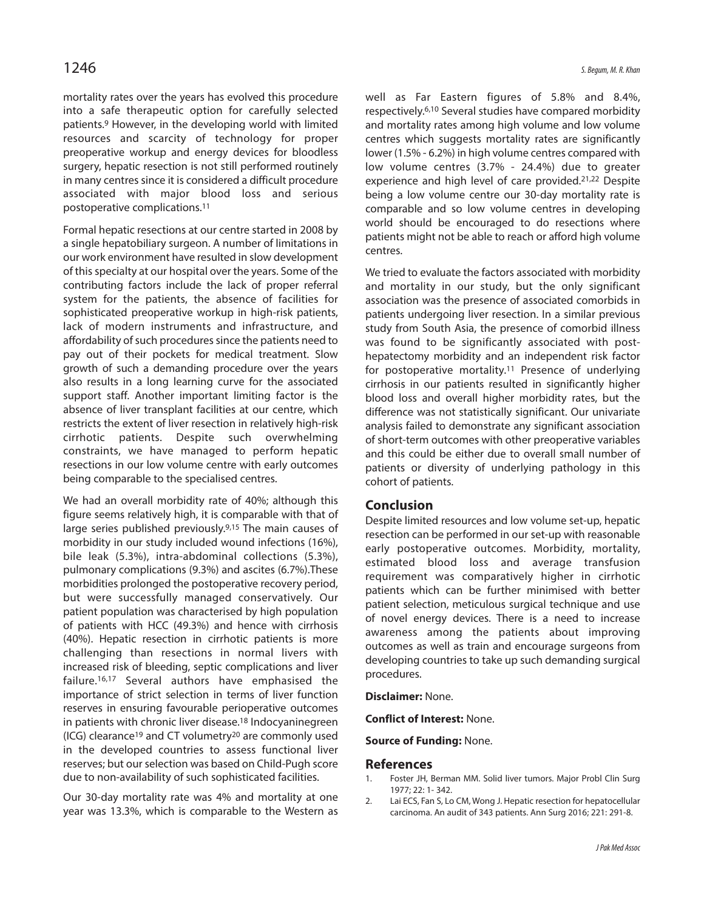mortality rates over the years has evolved this procedure into a safe therapeutic option for carefully selected patients.<sup>9</sup> However, in the developing world with limited resources and scarcity of technology for proper preoperative workup and energy devices for bloodless surgery, hepatic resection is not still performed routinely in many centres since it is considered a difficult procedure associated with major blood loss and serious postoperative complications.<sup>11</sup>

Formal hepatic resections at our centre started in 2008 by a single hepatobiliary surgeon. A number of limitations in our work environment have resulted in slow development of this specialty at our hospital over the years. Some of the contributing factors include the lack of proper referral system for the patients, the absence of facilities for sophisticated preoperative workup in high-risk patients, lack of modern instruments and infrastructure, and affordability of such procedures since the patients need to pay out of their pockets for medical treatment. Slow growth of such a demanding procedure over the years also results in a long learning curve for the associated support staff. Another important limiting factor is the absence of liver transplant facilities at our centre, which restricts the extent of liver resection in relatively high-risk cirrhotic patients. Despite such overwhelming constraints, we have managed to perform hepatic resections in our low volume centre with early outcomes being comparable to the specialised centres.

We had an overall morbidity rate of 40%; although this figure seems relatively high, it is comparable with that of large series published previously.<sup>9,15</sup> The main causes of morbidity in our study included wound infections (16%), bile leak (5.3%), intra-abdominal collections (5.3%), pulmonary complications (9.3%) and ascites (6.7%).These morbidities prolonged the postoperative recovery period, but were successfully managed conservatively. Our patient population was characterised by high population of patients with HCC (49.3%) and hence with cirrhosis (40%). Hepatic resection in cirrhotic patients is more challenging than resections in normal livers with increased risk of bleeding, septic complications and liver failure.16,17 Several authors have emphasised the importance of strict selection in terms of liver function reserves in ensuring favourable perioperative outcomes in patients with chronic liver disease.<sup>18</sup> Indocyaninegreen (ICG) clearance<sup>19</sup> and CT volumetry<sup>20</sup> are commonly used in the developed countries to assess functional liver reserves; but our selection was based on Child-Pugh score due to non-availability of such sophisticated facilities.

Our 30-day mortality rate was 4% and mortality at one year was 13.3%, which is comparable to the Western as well as Far Eastern figures of 5.8% and 8.4%, respectively.6,10 Several studies have compared morbidity and mortality rates among high volume and low volume centres which suggests mortality rates are significantly lower (1.5% - 6.2%) in high volume centres compared with low volume centres (3.7% - 24.4%) due to greater experience and high level of care provided.21,22 Despite being a low volume centre our 30-day mortality rate is comparable and so low volume centres in developing world should be encouraged to do resections where patients might not be able to reach or afford high volume centres.

We tried to evaluate the factors associated with morbidity and mortality in our study, but the only significant association was the presence of associated comorbids in patients undergoing liver resection. In a similar previous study from South Asia, the presence of comorbid illness was found to be significantly associated with posthepatectomy morbidity and an independent risk factor for postoperative mortality.<sup>11</sup> Presence of underlying cirrhosis in our patients resulted in significantly higher blood loss and overall higher morbidity rates, but the difference was not statistically significant. Our univariate analysis failed to demonstrate any significant association of short-term outcomes with other preoperative variables and this could be either due to overall small number of patients or diversity of underlying pathology in this cohort of patients.

### **Conclusion**

Despite limited resources and low volume set-up, hepatic resection can be performed in our set-up with reasonable early postoperative outcomes. Morbidity, mortality, estimated blood loss and average transfusion requirement was comparatively higher in cirrhotic patients which can be further minimised with better patient selection, meticulous surgical technique and use of novel energy devices. There is a need to increase awareness among the patients about improving outcomes as well as train and encourage surgeons from developing countries to take up such demanding surgical procedures.

**Disclaimer:** None.

**Conflict of Interest:** None.

**Source of Funding:** None.

### **References**

- 1. Foster JH, Berman MM. Solid liver tumors. Major Probl Clin Surg 1977; 22: 1- 342.
- 2. Lai ECS, Fan S, Lo CM, Wong J. Hepatic resection for hepatocellular carcinoma. An audit of 343 patients. Ann Surg 2016; 221: 291-8.